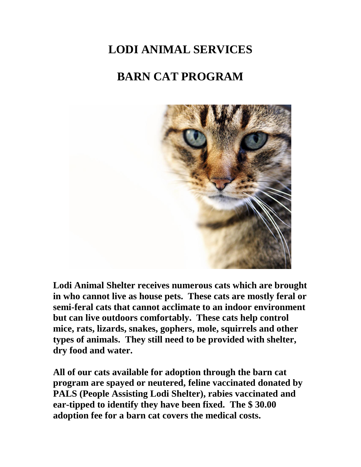## **LODI ANIMAL SERVICES**

## **BARN CAT PROGRAM**



**Lodi Animal Shelter receives numerous cats which are brought in who cannot live as house pets. These cats are mostly feral or semi-feral cats that cannot acclimate to an indoor environment but can live outdoors comfortably. These cats help control mice, rats, lizards, snakes, gophers, mole, squirrels and other types of animals. They still need to be provided with shelter, dry food and water.** 

**All of our cats available for adoption through the barn cat program are spayed or neutered, feline vaccinated donated by PALS (People Assisting Lodi Shelter), rabies vaccinated and ear-tipped to identify they have been fixed. The \$ 30.00 adoption fee for a barn cat covers the medical costs.**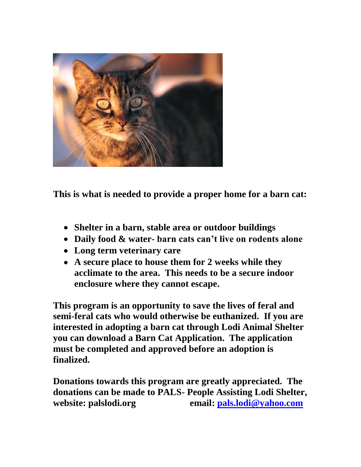

**This is what is needed to provide a proper home for a barn cat:**

- **Shelter in a barn, stable area or outdoor buildings**
- **Daily food & water- barn cats can't live on rodents alone**
- **Long term veterinary care**
- **A secure place to house them for 2 weeks while they acclimate to the area. This needs to be a secure indoor enclosure where they cannot escape.**

**This program is an opportunity to save the lives of feral and semi-feral cats who would otherwise be euthanized. If you are interested in adopting a barn cat through Lodi Animal Shelter you can download a Barn Cat Application. The application must be completed and approved before an adoption is finalized.** 

**Donations towards this program are greatly appreciated. The donations can be made to PALS- People Assisting Lodi Shelter, website: palslodi.org email: [pals.lodi@yahoo.com](mailto:pals.lodi@yahoo.com)**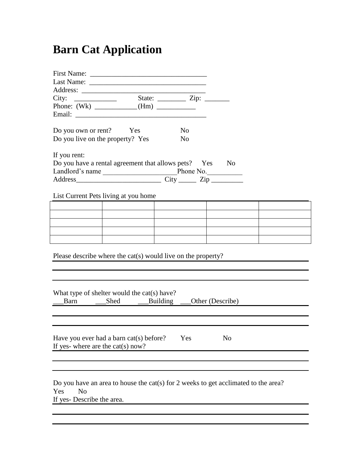## **Barn Cat Application**

| Do you own or rent? Yes<br>N <sub>0</sub>                                                                                                |  |  |  |  |
|------------------------------------------------------------------------------------------------------------------------------------------|--|--|--|--|
| Do you live on the property? Yes<br>N <sub>0</sub>                                                                                       |  |  |  |  |
|                                                                                                                                          |  |  |  |  |
| If you rent:                                                                                                                             |  |  |  |  |
| Do you have a rental agreement that allows pets? Yes<br>N <sub>0</sub>                                                                   |  |  |  |  |
|                                                                                                                                          |  |  |  |  |
| Address City City Zip                                                                                                                    |  |  |  |  |
|                                                                                                                                          |  |  |  |  |
| List Current Pets living at you home                                                                                                     |  |  |  |  |
|                                                                                                                                          |  |  |  |  |
|                                                                                                                                          |  |  |  |  |
|                                                                                                                                          |  |  |  |  |
|                                                                                                                                          |  |  |  |  |
|                                                                                                                                          |  |  |  |  |
| Please describe where the cat(s) would live on the property?                                                                             |  |  |  |  |
| What type of shelter would the cat(s) have?<br>Barn Shed Building<br>Other (Describe)                                                    |  |  |  |  |
| Have you ever had a barn cat(s) before?<br>Yes<br>No<br>If yes- where are the cat(s) now?                                                |  |  |  |  |
| Do you have an area to house the cat(s) for 2 weeks to get acclimated to the area?<br>N <sub>o</sub><br>Yes<br>If yes-Describe the area. |  |  |  |  |